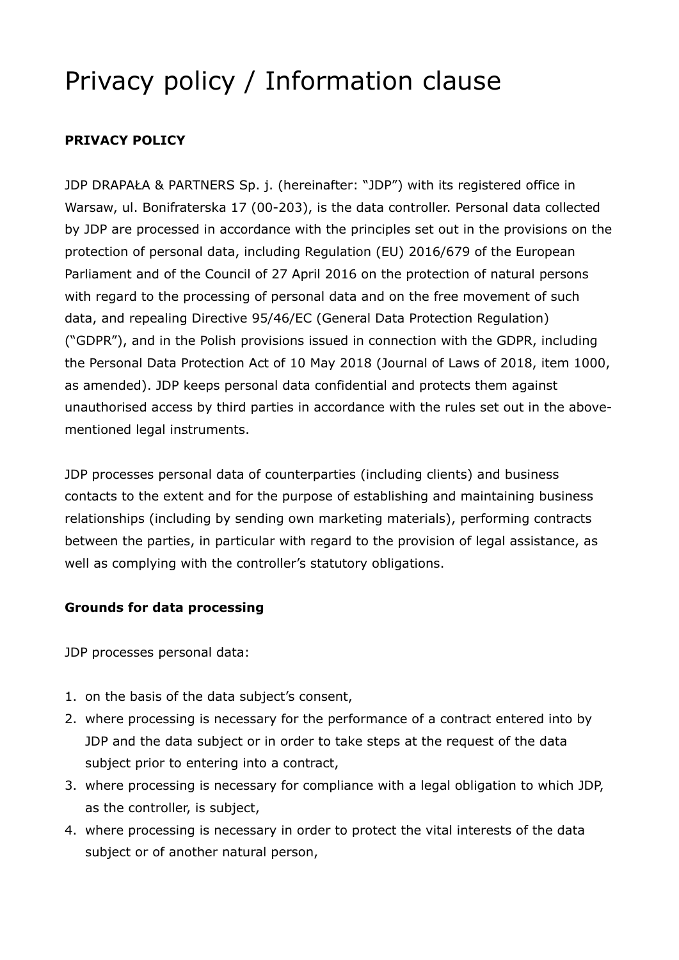# Privacy policy / Information clause

# **PRIVACY POLICY**

JDP DRAPAŁA & PARTNERS Sp. j. (hereinafter: "JDP") with its registered office in Warsaw, ul. Bonifraterska 17 (00-203), is the data controller. Personal data collected by JDP are processed in accordance with the principles set out in the provisions on the protection of personal data, including Regulation (EU) 2016/679 of the European Parliament and of the Council of 27 April 2016 on the protection of natural persons with regard to the processing of personal data and on the free movement of such data, and repealing Directive 95/46/EC (General Data Protection Regulation) ("GDPR"), and in the Polish provisions issued in connection with the GDPR, including the Personal Data Protection Act of 10 May 2018 (Journal of Laws of 2018, item 1000, as amended). JDP keeps personal data confidential and protects them against unauthorised access by third parties in accordance with the rules set out in the abovementioned legal instruments.

JDP processes personal data of counterparties (including clients) and business contacts to the extent and for the purpose of establishing and maintaining business relationships (including by sending own marketing materials), performing contracts between the parties, in particular with regard to the provision of legal assistance, as well as complying with the controller's statutory obligations.

### **Grounds for data processing**

JDP processes personal data:

- 1. on the basis of the data subject's consent,
- 2. where processing is necessary for the performance of a contract entered into by JDP and the data subject or in order to take steps at the request of the data subject prior to entering into a contract,
- 3. where processing is necessary for compliance with a legal obligation to which JDP, as the controller, is subject,
- 4. where processing is necessary in order to protect the vital interests of the data subject or of another natural person,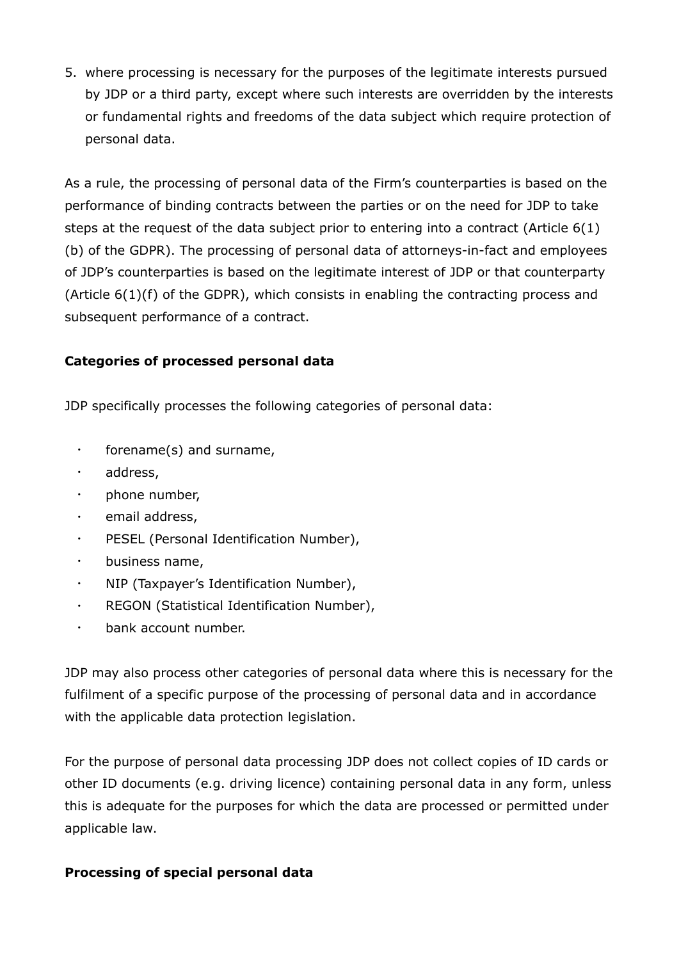5. where processing is necessary for the purposes of the legitimate interests pursued by JDP or a third party, except where such interests are overridden by the interests or fundamental rights and freedoms of the data subject which require protection of personal data.

As a rule, the processing of personal data of the Firm's counterparties is based on the performance of binding contracts between the parties or on the need for JDP to take steps at the request of the data subject prior to entering into a contract (Article 6(1) (b) of the GDPR). The processing of personal data of attorneys-in-fact and employees of JDP's counterparties is based on the legitimate interest of JDP or that counterparty (Article 6(1)(f) of the GDPR), which consists in enabling the contracting process and subsequent performance of a contract.

### **Categories of processed personal data**

JDP specifically processes the following categories of personal data:

- forename(s) and surname,
- address,
- phone number,
- email address,
- PESEL (Personal Identification Number),
- business name,
- NIP (Taxpayer's Identification Number),
- REGON (Statistical Identification Number),
- bank account number.

JDP may also process other categories of personal data where this is necessary for the fulfilment of a specific purpose of the processing of personal data and in accordance with the applicable data protection legislation.

For the purpose of personal data processing JDP does not collect copies of ID cards or other ID documents (e.g. driving licence) containing personal data in any form, unless this is adequate for the purposes for which the data are processed or permitted under applicable law.

### **Processing of special personal data**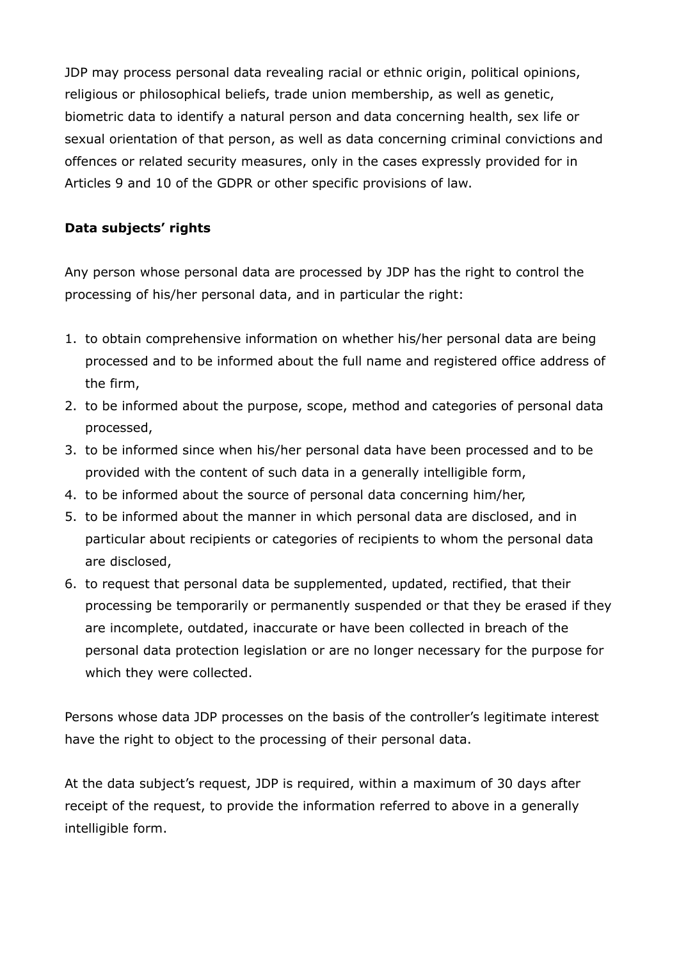JDP may process personal data revealing racial or ethnic origin, political opinions, religious or philosophical beliefs, trade union membership, as well as genetic, biometric data to identify a natural person and data concerning health, sex life or sexual orientation of that person, as well as data concerning criminal convictions and offences or related security measures, only in the cases expressly provided for in Articles 9 and 10 of the GDPR or other specific provisions of law.

# **Data subjects' rights**

Any person whose personal data are processed by JDP has the right to control the processing of his/her personal data, and in particular the right:

- 1. to obtain comprehensive information on whether his/her personal data are being processed and to be informed about the full name and registered office address of the firm,
- 2. to be informed about the purpose, scope, method and categories of personal data processed,
- 3. to be informed since when his/her personal data have been processed and to be provided with the content of such data in a generally intelligible form,
- 4. to be informed about the source of personal data concerning him/her,
- 5. to be informed about the manner in which personal data are disclosed, and in particular about recipients or categories of recipients to whom the personal data are disclosed,
- 6. to request that personal data be supplemented, updated, rectified, that their processing be temporarily or permanently suspended or that they be erased if they are incomplete, outdated, inaccurate or have been collected in breach of the personal data protection legislation or are no longer necessary for the purpose for which they were collected.

Persons whose data JDP processes on the basis of the controller's legitimate interest have the right to object to the processing of their personal data.

At the data subject's request, JDP is required, within a maximum of 30 days after receipt of the request, to provide the information referred to above in a generally intelligible form.